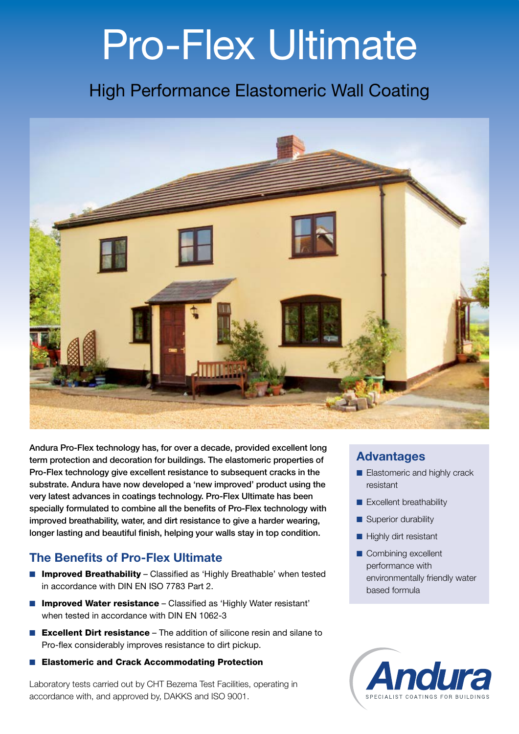# Pro-Flex Ultimate

### High Performance Elastomeric Wall Coating



Andura Pro-Flex technology has, for over a decade, provided excellent long term protection and decoration for buildings. The elastomeric properties of Pro-Flex technology give excellent resistance to subsequent cracks in the substrate. Andura have now developed a 'new improved' product using the very latest advances in coatings technology. Pro-Flex Ultimate has been specially formulated to combine all the benefits of Pro-Flex technology with improved breathability, water, and dirt resistance to give a harder wearing, longer lasting and beautiful finish, helping your walls stay in top condition.

#### The Benefits of Pro-Flex Ultimate

- Improved Breathability Classified as 'Highly Breathable' when tested in accordance with DIN EN ISO 7783 Part 2.
- Improved Water resistance Classified as 'Highly Water resistant' when tested in accordance with DIN EN 1062-3
- Excellent Dirt resistance The addition of silicone resin and silane to Pro-flex considerably improves resistance to dirt pickup.
- Elastomeric and Crack Accommodating Protection

Laboratory tests carried out by CHT Bezema Test Facilities, operating in accordance with, and approved by, DAKKS and ISO 9001.

#### Advantages

- Elastomeric and highly crack resistant
- Excellent breathability
- Superior durability
- Highly dirt resistant
- Combining excellent performance with environmentally friendly water based formula